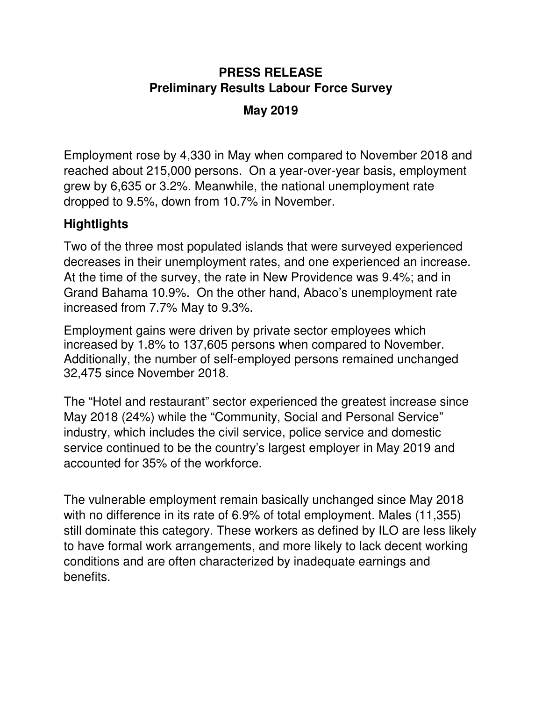# **PRESS RELEASE Preliminary Results Labour Force Survey**

## **May 2019**

Employment rose by 4,330 in May when compared to November 2018 and reached about 215,000 persons. On a year-over-year basis, employment grew by 6,635 or 3.2%. Meanwhile, the national unemployment rate dropped to 9.5%, down from 10.7% in November.

## **Hightlights**

Two of the three most populated islands that were surveyed experienced decreases in their unemployment rates, and one experienced an increase. At the time of the survey, the rate in New Providence was 9.4%; and in Grand Bahama 10.9%. On the other hand, Abaco's unemployment rate increased from 7.7% May to 9.3%.

Employment gains were driven by private sector employees which increased by 1.8% to 137,605 persons when compared to November. Additionally, the number of self-employed persons remained unchanged 32,475 since November 2018.

The "Hotel and restaurant" sector experienced the greatest increase since May 2018 (24%) while the "Community, Social and Personal Service" industry, which includes the civil service, police service and domestic service continued to be the country's largest employer in May 2019 and accounted for 35% of the workforce.

The vulnerable employment remain basically unchanged since May 2018 with no difference in its rate of 6.9% of total employment. Males (11,355) still dominate this category. These workers as defined by ILO are less likely to have formal work arrangements, and more likely to lack decent working conditions and are often characterized by inadequate earnings and benefits.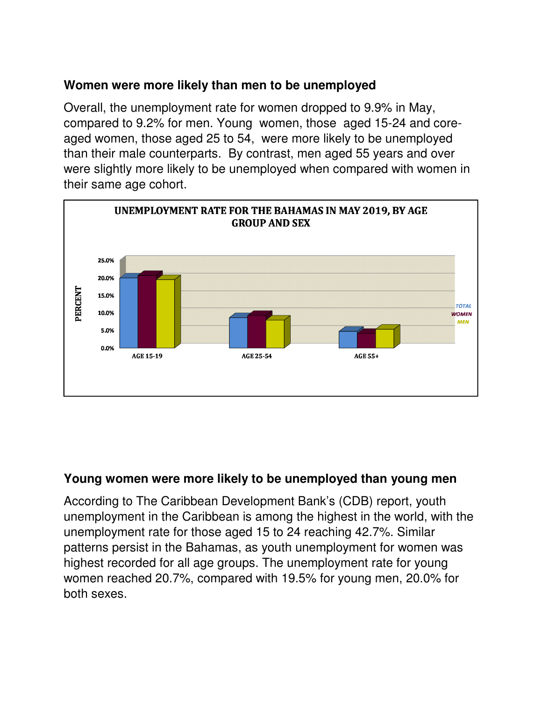### **Women were more likely than men to be unemployed**

Overall, the unemployment rate for women dropped to 9.9% in May, compared to 9.2% for men. Young women, those aged 15-24 and coreaged women, those aged 25 to 54, were more likely to be unemployed than their male counterparts. By contrast, men aged 55 years and over were slightly more likely to be unemployed when compared with women in their same age cohort.



#### **Young women were more likely to be unemployed than young men**

According to The Caribbean Development Bank's (CDB) report, youth unemployment in the Caribbean is among the highest in the world, with the unemployment rate for those aged 15 to 24 reaching 42.7%. Similar patterns persist in the Bahamas, as youth unemployment for women was highest recorded for all age groups. The unemployment rate for young women reached 20.7%, compared with 19.5% for young men, 20.0% for both sexes.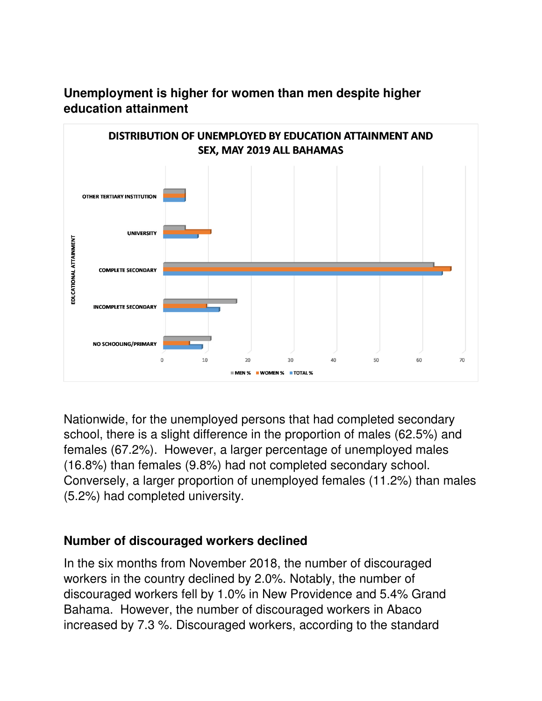

## **Unemployment is higher for women than men despite higher education attainment**

Nationwide, for the unemployed persons that had completed secondary school, there is a slight difference in the proportion of males (62.5%) and females (67.2%). However, a larger percentage of unemployed males (16.8%) than females (9.8%) had not completed secondary school. Conversely, a larger proportion of unemployed females (11.2%) than males (5.2%) had completed university.

### **Number of discouraged workers declined**

In the six months from November 2018, the number of discouraged workers in the country declined by 2.0%. Notably, the number of discouraged workers fell by 1.0% in New Providence and 5.4% Grand Bahama. However, the number of discouraged workers in Abaco increased by 7.3 %. Discouraged workers, according to the standard